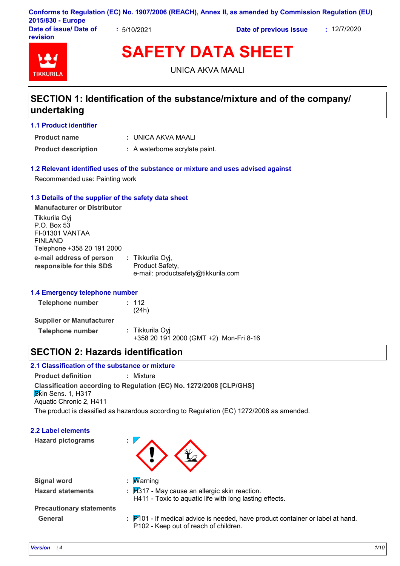|                                             |                   | Conforms to Regulation (EC) No. 1907/2006 (REACH), Annex II, as amended by Commission Regulation (EU) |             |
|---------------------------------------------|-------------------|-------------------------------------------------------------------------------------------------------|-------------|
| 2015/830 - Europe<br>Date of issue/ Date of | $\cdot$ 5/10/2021 | Date of previous issue                                                                                | : 12/7/2020 |
| <b>revision</b>                             |                   |                                                                                                       |             |

# **SAFETY DATA SHEET**

UNICA AKVA MAALI

# **SECTION 1: Identification of the substance/mixture and of the company/ undertaking**

# **1.1 Product identifier**

**Product name**

**TIKKURIL** 

UNICA AKVA MAALI **:**

**Product description :** A waterborne acrylate paint.

### **1.2 Relevant identified uses of the substance or mixture and uses advised against**

Recommended use: Painting work

### **1.3 Details of the supplier of the safety data sheet**

**e-mail address of person responsible for this SDS :** Tikkurila Oyj, Product Safety, e-mail: productsafety@tikkurila.com **Manufacturer or Distributor** Tikkurila Oyj P.O. Box 53 FI-01301 VANTAA FINLAND Telephone +358 20 191 2000

### **1.4 Emergency telephone number**

| Telephone number                | : 112<br>(24h)                                            |
|---------------------------------|-----------------------------------------------------------|
| <b>Supplier or Manufacturer</b> |                                                           |
| Telephone number                | : Tikkurila Oyi<br>+358 20 191 2000 (GMT +2) Mon-Fri 8-16 |

# **SECTION 2: Hazards identification**

# **2.1 Classification of the substance or mixture**

**Product definition :** Mixture

**Classification according to Regulation (EC) No. 1272/2008 [CLP/GHS]**

**Skin Sens. 1, H317** Aquatic Chronic 2, H411

The product is classified as hazardous according to Regulation (EC) 1272/2008 as amended.

# **2.2 Label elements**

**Hazard pictograms :**



| <b>Signal word</b>       | : $M$ arning                  |
|--------------------------|-------------------------------|
| <b>Hazard statements</b> | : $\cancel{H}317$ - May cause |

**Hazard statements :** H317 - May cause an allergic skin reaction. H411 - Toxic to aquatic life with long lasting effects.

# **Precautionary statements**

General **EXACCE 3.1 F101** - If medical advice is needed, have product container or label at hand. P102 - Keep out of reach of children.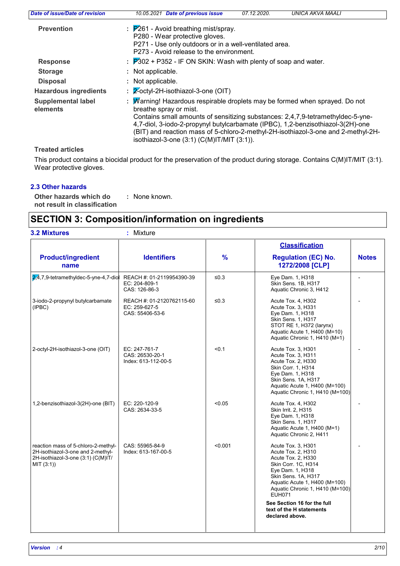| Date of issue/Date of revision        | 07.12.2020.<br>Date of previous issue<br>UNICA AKVA MAALI<br>10.05.2021                                                                                                                                                                                                                                                                                                                                                    |
|---------------------------------------|----------------------------------------------------------------------------------------------------------------------------------------------------------------------------------------------------------------------------------------------------------------------------------------------------------------------------------------------------------------------------------------------------------------------------|
| <b>Prevention</b>                     | $\frac{1}{2}$ P261 - Avoid breathing mist/spray.<br>P280 - Wear protective gloves.<br>P271 - Use only outdoors or in a well-ventilated area.<br>P273 - Avoid release to the environment.                                                                                                                                                                                                                                   |
| <b>Response</b>                       | $\therefore$ 7302 + P352 - IF ON SKIN: Wash with plenty of soap and water.                                                                                                                                                                                                                                                                                                                                                 |
| <b>Storage</b>                        | Not applicable.                                                                                                                                                                                                                                                                                                                                                                                                            |
| <b>Disposal</b>                       | : Not applicable.                                                                                                                                                                                                                                                                                                                                                                                                          |
| <b>Hazardous ingredients</b>          | 2-octyl-2H-isothiazol-3-one (OIT)                                                                                                                                                                                                                                                                                                                                                                                          |
| <b>Supplemental label</b><br>elements | Warning! Hazardous respirable droplets may be formed when sprayed. Do not<br>÷.<br>breathe spray or mist.<br>Contains small amounts of sensitizing substances: 2,4,7,9-tetramethyldec-5-yne-<br>4,7-diol, 3-iodo-2-propynyl butylcarbamate (IPBC), 1,2-benzisothiazol-3(2H)-one<br>(BIT) and reaction mass of 5-chloro-2-methyl-2H-isothiazol-3-one and 2-methyl-2H-<br>isothiazol-3-one $(3:1)$ $(C(M)$ IT/MIT $(3:1)$ ). |

# **Treated articles**

This product contains a biocidal product for the preservation of the product during storage. Contains C(M)IT/MIT (3:1). Wear protective gloves.

# **2.3 Other hazards**

**Other hazards which do : not result in classification** : None known.

# **SECTION 3: Composition/information on ingredients**

| <b>3.2 Mixtures</b><br>: Mixture                                                                                            |                                                               |               |                                                                                                                                                                                                                       |              |
|-----------------------------------------------------------------------------------------------------------------------------|---------------------------------------------------------------|---------------|-----------------------------------------------------------------------------------------------------------------------------------------------------------------------------------------------------------------------|--------------|
| <b>Product/ingredient</b><br>name                                                                                           | <b>Identifiers</b>                                            | $\frac{9}{6}$ | <b>Classification</b><br><b>Regulation (EC) No.</b><br>1272/2008 [CLP]                                                                                                                                                | <b>Notes</b> |
| 2.4.7.9-tetramethyldec-5-yne-4.7-diol                                                                                       | REACH #: 01-2119954390-39<br>EC: 204-809-1<br>CAS: 126-86-3   | ≤0.3          | Eye Dam. 1, H318<br>Skin Sens, 1B, H317<br>Aquatic Chronic 3, H412                                                                                                                                                    |              |
| 3-iodo-2-propynyl butylcarbamate<br>(IPBC)                                                                                  | REACH #: 01-2120762115-60<br>EC: 259-627-5<br>CAS: 55406-53-6 | ≤ $0.3$       | Acute Tox. 4, H302<br>Acute Tox. 3, H331<br>Eye Dam. 1, H318<br>Skin Sens. 1, H317<br>STOT RE 1, H372 (larynx)<br>Aquatic Acute 1, H400 (M=10)<br>Aquatic Chronic 1, H410 (M=1)                                       |              |
| 2-octyl-2H-isothiazol-3-one (OIT)                                                                                           | EC: 247-761-7<br>CAS: 26530-20-1<br>Index: 613-112-00-5       | < 0.1         | Acute Tox. 3, H301<br>Acute Tox. 3, H311<br>Acute Tox. 2, H330<br>Skin Corr. 1, H314<br>Eye Dam. 1, H318<br>Skin Sens. 1A, H317<br>Aquatic Acute 1, H400 (M=100)<br>Aquatic Chronic 1, H410 (M=100)                   |              |
| 1,2-benzisothiazol-3(2H)-one (BIT)                                                                                          | EC: 220-120-9<br>CAS: 2634-33-5                               | < 0.05        | Acute Tox. 4, H302<br>Skin Irrit. 2, H315<br>Eye Dam. 1, H318<br>Skin Sens. 1, H317<br>Aquatic Acute 1, H400 (M=1)<br>Aquatic Chronic 2, H411                                                                         |              |
| reaction mass of 5-chloro-2-methyl-<br>2H-isothiazol-3-one and 2-methyl-<br>2H-isothiazol-3-one (3:1) (C(M)IT/<br>MIT (3:1) | CAS: 55965-84-9<br>Index: 613-167-00-5                        | < 0.001       | Acute Tox. 3, H301<br>Acute Tox. 2, H310<br>Acute Tox. 2, H330<br>Skin Corr. 1C, H314<br>Eye Dam. 1, H318<br>Skin Sens. 1A, H317<br>Aquatic Acute 1, H400 (M=100)<br>Aquatic Chronic 1, H410 (M=100)<br><b>EUH071</b> |              |
|                                                                                                                             |                                                               |               | See Section 16 for the full<br>text of the H statements<br>declared above.                                                                                                                                            |              |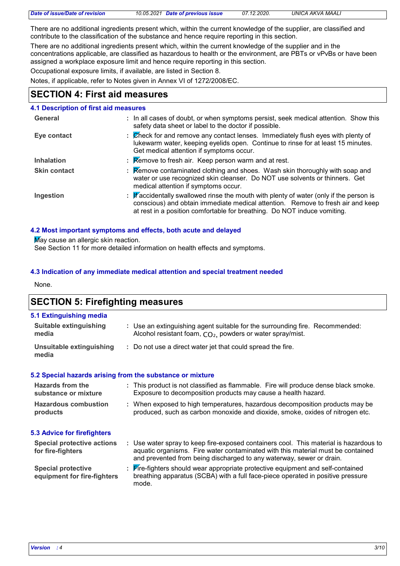|  |  | Date of issue/Date of revision |
|--|--|--------------------------------|
|--|--|--------------------------------|

*Date of issue/Date of revision 10.05.2021 Date of previous issue 07.12.2020. UNICA AKVA MAALI*

There are no additional ingredients present which, within the current knowledge of the supplier, are classified and contribute to the classification of the substance and hence require reporting in this section.

There are no additional ingredients present which, within the current knowledge of the supplier and in the concentrations applicable, are classified as hazardous to health or the environment, are PBTs or vPvBs or have been assigned a workplace exposure limit and hence require reporting in this section.

Occupational exposure limits, if available, are listed in Section 8.

Notes, if applicable, refer to Notes given in Annex VI of 1272/2008/EC.

# **SECTION 4: First aid measures**

#### **4.1 Description of first aid measures General :** In all cases of doubt, or when symptoms persist, seek medical attention. Show this

| <b>UCIICIAI</b>     | . In all cases of goubl, or wright symptoms persist, seen medical attention. Show this<br>safety data sheet or label to the doctor if possible.                                                                                                      |
|---------------------|------------------------------------------------------------------------------------------------------------------------------------------------------------------------------------------------------------------------------------------------------|
| Eye contact         | : Check for and remove any contact lenses. Immediately flush eyes with plenty of<br>lukewarm water, keeping eyelids open. Continue to rinse for at least 15 minutes.<br>Get medical attention if symptoms occur.                                     |
| <b>Inhalation</b>   | $\mathbb R$ Remove to fresh air. Keep person warm and at rest.                                                                                                                                                                                       |
| <b>Skin contact</b> | <b>Remove contaminated clothing and shoes. Wash skin thoroughly with soap and</b><br>water or use recognized skin cleanser. Do NOT use solvents or thinners. Get<br>medical attention if symptoms occur.                                             |
| Ingestion           | : Faccidentally swallowed rinse the mouth with plenty of water (only if the person is<br>conscious) and obtain immediate medical attention. Remove to fresh air and keep<br>at rest in a position comfortable for breathing. Do NOT induce vomiting. |

### **4.2 Most important symptoms and effects, both acute and delayed**

May cause an allergic skin reaction.

See Section 11 for more detailed information on health effects and symptoms.

# **4.3 Indication of any immediate medical attention and special treatment needed**

None.

# **SECTION 5: Firefighting measures**

| 5.1 Extinguishing media                |                                                                                                                                                        |
|----------------------------------------|--------------------------------------------------------------------------------------------------------------------------------------------------------|
| <b>Suitable extinguishing</b><br>media | : Use an extinguishing agent suitable for the surrounding fire. Recommended:<br>Alcohol resistant foam, CO <sub>2</sub> , powders or water spray/mist. |
| Unsuitable extinguishing<br>media      | : Do not use a direct water jet that could spread the fire.                                                                                            |

### **5.2 Special hazards arising from the substance or mixture**

| <b>Hazards from the</b><br>substance or mixture | : This product is not classified as flammable. Fire will produce dense black smoke.<br>Exposure to decomposition products may cause a health hazard.          |
|-------------------------------------------------|---------------------------------------------------------------------------------------------------------------------------------------------------------------|
| <b>Hazardous combustion</b><br>products         | : When exposed to high temperatures, hazardous decomposition products may be<br>produced, such as carbon monoxide and dioxide, smoke, oxides of nitrogen etc. |

### **5.3 Advice for firefighters**

| <b>Special protective actions</b>                        | Use water spray to keep fire-exposed containers cool. This material is hazardous to                                                                                             |
|----------------------------------------------------------|---------------------------------------------------------------------------------------------------------------------------------------------------------------------------------|
| for fire-fighters                                        | aquatic organisms. Fire water contaminated with this material must be contained                                                                                                 |
|                                                          | and prevented from being discharged to any waterway, sewer or drain.                                                                                                            |
| <b>Special protective</b><br>equipment for fire-fighters | <b>Fire-fighters should wear appropriate protective equipment and self-contained</b><br>breathing apparatus (SCBA) with a full face-piece operated in positive pressure<br>mode |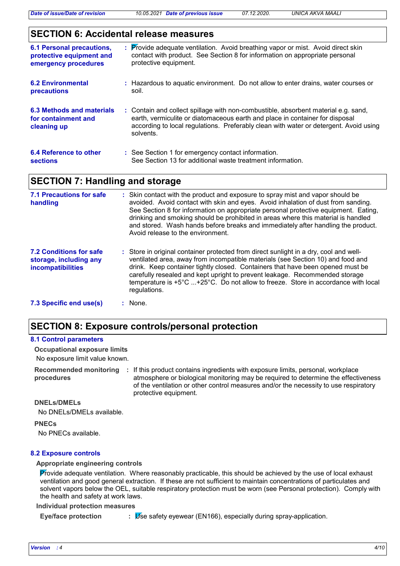# **SECTION 6: Accidental release measures**

| <b>6.1 Personal precautions,</b>                                | : Provide adequate ventilation. Avoid breathing vapor or mist. Avoid direct skin                                                                                                                                                                                         |
|-----------------------------------------------------------------|--------------------------------------------------------------------------------------------------------------------------------------------------------------------------------------------------------------------------------------------------------------------------|
| protective equipment and                                        | contact with product. See Section 8 for information on appropriate personal                                                                                                                                                                                              |
| emergency procedures                                            | protective equipment.                                                                                                                                                                                                                                                    |
| <b>6.2 Environmental</b>                                        | : Hazardous to aguatic environment. Do not allow to enter drains, water courses or                                                                                                                                                                                       |
| <b>precautions</b>                                              | soil.                                                                                                                                                                                                                                                                    |
| 6.3 Methods and materials<br>for containment and<br>cleaning up | : Contain and collect spillage with non-combustible, absorbent material e.g. sand,<br>earth, vermiculite or diatomaceous earth and place in container for disposal<br>according to local regulations. Preferably clean with water or detergent. Avoid using<br>solvents. |
| 6.4 Reference to other                                          | : See Section 1 for emergency contact information.                                                                                                                                                                                                                       |
| <b>sections</b>                                                 | See Section 13 for additional waste treatment information.                                                                                                                                                                                                               |

# **SECTION 7: Handling and storage**

| 7.1 Precautions for safe<br>handling                                                 | : Skin contact with the product and exposure to spray mist and vapor should be<br>avoided. Avoid contact with skin and eyes. Avoid inhalation of dust from sanding.<br>See Section 8 for information on appropriate personal protective equipment. Eating,<br>drinking and smoking should be prohibited in areas where this material is handled<br>and stored. Wash hands before breaks and immediately after handling the product.<br>Avoid release to the environment. |
|--------------------------------------------------------------------------------------|--------------------------------------------------------------------------------------------------------------------------------------------------------------------------------------------------------------------------------------------------------------------------------------------------------------------------------------------------------------------------------------------------------------------------------------------------------------------------|
| <b>7.2 Conditions for safe</b><br>storage, including any<br><b>incompatibilities</b> | : Store in original container protected from direct sunlight in a dry, cool and well-<br>ventilated area, away from incompatible materials (see Section 10) and food and<br>drink. Keep container tightly closed. Containers that have been opened must be<br>carefully resealed and kept upright to prevent leakage. Recommended storage<br>temperature is +5°C +25°C. Do not allow to freeze. Store in accordance with local<br>regulations.                           |
| 7.3 Specific end use(s)                                                              | $:$ None.                                                                                                                                                                                                                                                                                                                                                                                                                                                                |

# **SECTION 8: Exposure controls/personal protection**

#### **8.1 Control parameters**

No exposure limit value known. **Occupational exposure limits**

**Recommended monitoring procedures** : If this product contains ingredients with exposure limits, personal, workplace atmosphere or biological monitoring may be required to determine the effectiveness of the ventilation or other control measures and/or the necessity to use respiratory protective equipment.

**DNELs/DMELs**

No DNELs/DMELs available.

### **PNECs**

No PNECs available.

#### **8.2 Exposure controls**

#### **Appropriate engineering controls**

Provide adequate ventilation. Where reasonably practicable, this should be achieved by the use of local exhaust ventilation and good general extraction. If these are not sufficient to maintain concentrations of particulates and solvent vapors below the OEL, suitable respiratory protection must be worn (see Personal protection). Comply with the health and safety at work laws.

**Individual protection measures**

**Eye/face protection :** Use safety eyewear (EN166), especially during spray-application.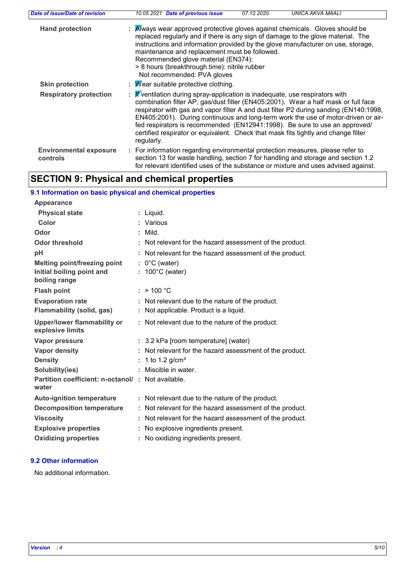| Date of issue/Date of revision            | 10.05.2021 Date of previous issue<br>07.12.2020.                                                                                                                                                                                                                                                                                                                                                                                                                                                                                               | UNICA AKVA MAALI |
|-------------------------------------------|------------------------------------------------------------------------------------------------------------------------------------------------------------------------------------------------------------------------------------------------------------------------------------------------------------------------------------------------------------------------------------------------------------------------------------------------------------------------------------------------------------------------------------------------|------------------|
| <b>Hand protection</b>                    | : Always wear approved protective gloves against chemicals. Gloves should be<br>replaced regularly and if there is any sign of damage to the glove material. The<br>instructions and information provided by the glove manufacturer on use, storage,<br>maintenance and replacement must be followed.<br>Recommended glove material (EN374):<br>> 8 hours (breakthrough time): nitrile rubber<br>Not recommended: PVA gloves                                                                                                                   |                  |
| <b>Skin protection</b>                    | : $\mathcal M$ ear suitable protective clothing.                                                                                                                                                                                                                                                                                                                                                                                                                                                                                               |                  |
| <b>Respiratory protection</b>             | : $\mathbf{F}'$ ventilation during spray-application is inadequate, use respirators with<br>combination filter AP, gas/dust filter (EN405:2001). Wear a half mask or full face<br>respirator with gas and vapor filter A and dust filter P2 during sanding (EN140:1998,<br>EN405:2001). During continuous and long-term work the use of motor-driven or air-<br>fed respirators is recommended (EN12941:1998). Be sure to use an approved/<br>certified respirator or equivalent. Check that mask fits tightly and change filter<br>regularly. |                  |
| <b>Environmental exposure</b><br>controls | : For information regarding environmental protection measures, please refer to<br>section 13 for waste handling, section 7 for handling and storage and section 1.2<br>for relevant identified uses of the substance or mixture and uses advised against.                                                                                                                                                                                                                                                                                      |                  |

# **SECTION 9: Physical and chemical properties**

# **9.1 Information on basic physical and chemical properties**

| Appearance                                                 |                                                          |
|------------------------------------------------------------|----------------------------------------------------------|
| <b>Physical state</b>                                      | : Liquid.                                                |
| <b>Color</b>                                               | : Various                                                |
| Odor                                                       | : Mild                                                   |
| <b>Odor threshold</b>                                      | Not relevant for the hazard assessment of the product.   |
| pH                                                         | Not relevant for the hazard assessment of the product.   |
| <b>Melting point/freezing point</b>                        | $: 0^{\circ}$ C (water)                                  |
| Initial boiling point and                                  | : $100^{\circ}$ C (water)                                |
| boiling range                                              |                                                          |
| <b>Flash point</b>                                         | : $> 100 °C$                                             |
| <b>Evaporation rate</b>                                    | Not relevant due to the nature of the product.           |
| <b>Flammability (solid, gas)</b>                           | : Not applicable. Product is a liquid.                   |
| <b>Upper/lower flammability or</b><br>explosive limits     | : Not relevant due to the nature of the product.         |
| Vapor pressure                                             | : 3.2 kPa [room temperature] (water)                     |
| <b>Vapor density</b>                                       | : Not relevant for the hazard assessment of the product. |
| <b>Density</b>                                             | : 1 to 1.2 g/cm <sup>3</sup>                             |
| Solubility(ies)                                            | : Miscible in water.                                     |
| Partition coefficient: n-octanol/: Not available.<br>water |                                                          |
| <b>Auto-ignition temperature</b>                           | : Not relevant due to the nature of the product.         |
| <b>Decomposition temperature</b>                           | : Not relevant for the hazard assessment of the product. |
| <b>Viscosity</b>                                           | Not relevant for the hazard assessment of the product.   |
| <b>Explosive properties</b>                                | No explosive ingredients present.                        |
| <b>Oxidizing properties</b>                                | No oxidizing ingredients present.                        |

# **9.2 Other information**

No additional information.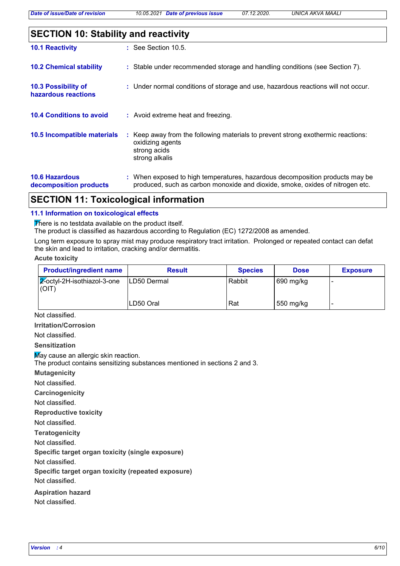*Date of issue/Date of revision 10.05.2021 Date of previous issue 07.12.2020. UNICA AKVA MAALI*

|--|

| <b>10.1 Reactivity</b>                          | $\therefore$ See Section 10.5.                                                                                                                                |
|-------------------------------------------------|---------------------------------------------------------------------------------------------------------------------------------------------------------------|
| <b>10.2 Chemical stability</b>                  | : Stable under recommended storage and handling conditions (see Section 7).                                                                                   |
| 10.3 Possibility of<br>hazardous reactions      | : Under normal conditions of storage and use, hazardous reactions will not occur.                                                                             |
| <b>10.4 Conditions to avoid</b>                 | : Avoid extreme heat and freezing.                                                                                                                            |
| 10.5 Incompatible materials                     | : Keep away from the following materials to prevent strong exothermic reactions:<br>oxidizing agents<br>strong acids<br>strong alkalis                        |
| <b>10.6 Hazardous</b><br>decomposition products | : When exposed to high temperatures, hazardous decomposition products may be<br>produced, such as carbon monoxide and dioxide, smoke, oxides of nitrogen etc. |

# **SECTION 11: Toxicological information**

# **11.1 Information on toxicological effects**

There is no testdata available on the product itself.

The product is classified as hazardous according to Regulation (EC) 1272/2008 as amended.

Long term exposure to spray mist may produce respiratory tract irritation. Prolonged or repeated contact can defat the skin and lead to irritation, cracking and/or dermatitis.

### **Acute toxicity**

| <b>Product/ingredient name</b>                 | <b>Result</b>       | <b>Species</b> | <b>Dose</b> | <b>Exposure</b> |
|------------------------------------------------|---------------------|----------------|-------------|-----------------|
| $\sqrt{2}$ -octyl-2H-isothiazol-3-one<br>(OIT) | <b>ILD50 Dermal</b> | Rabbit         | 690 mg/kg   |                 |
|                                                | LD50 Oral           | Rat            | 550 mg/kg   |                 |

Not classified.

**Irritation/Corrosion**

Not classified.

**Sensitization**

May cause an allergic skin reaction.

The product contains sensitizing substances mentioned in sections 2 and 3.

**Mutagenicity**

Not classified.

**Carcinogenicity**

Not classified.

**Reproductive toxicity**

Not classified.

**Teratogenicity**

Not classified.

**Specific target organ toxicity (single exposure)**

Not classified.

**Specific target organ toxicity (repeated exposure)**

Not classified.

**Aspiration hazard**

Not classified.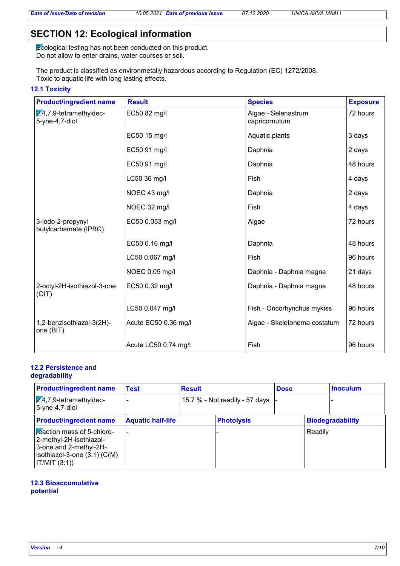# **SECTION 12: Ecological information**

Ecological testing has not been conducted on this product. Do not allow to enter drains, water courses or soil.

The product is classified as environmetally hazardous according to Regulation (EC) 1272/2008. Toxic to aquatic life with long lasting effects.

# **12.1 Toxicity**

| <b>Product/ingredient name</b>                          | <b>Result</b>        | <b>Species</b>                       | <b>Exposure</b> |
|---------------------------------------------------------|----------------------|--------------------------------------|-----------------|
| $\overline{2,4}$ ,7,9-tetramethyldec-<br>5-yne-4,7-diol | EC50 82 mg/l         | Algae - Selenastrum<br>capricornutum | 72 hours        |
|                                                         | EC50 15 mg/l         | Aquatic plants                       | 3 days          |
|                                                         | EC50 91 mg/l         | Daphnia                              | 2 days          |
|                                                         | EC50 91 mg/l         | Daphnia                              | 48 hours        |
|                                                         | LC50 36 mg/l         | Fish                                 | 4 days          |
|                                                         | NOEC 43 mg/l         | Daphnia                              | 2 days          |
|                                                         | NOEC 32 mg/l         | Fish                                 | 4 days          |
| 3-iodo-2-propynyl<br>butylcarbamate (IPBC)              | EC50 0.053 mg/l      | Algae                                | 72 hours        |
|                                                         | EC50 0.16 mg/l       | Daphnia                              | 48 hours        |
|                                                         | LC50 0.067 mg/l      | Fish                                 | 96 hours        |
|                                                         | NOEC 0.05 mg/l       | Daphnia - Daphnia magna              | 21 days         |
| 2-octyl-2H-isothiazol-3-one<br>(OIT)                    | EC50 0.32 mg/l       | Daphnia - Daphnia magna              | 48 hours        |
|                                                         | LC50 0.047 mg/l      | Fish - Oncorhynchus mykiss           | 96 hours        |
| 1,2-benzisothiazol-3(2H)-<br>one (BIT)                  | Acute EC50 0.36 mg/l | Algae - Skeletonema costatum         | 72 hours        |
|                                                         | Acute LC50 0.74 mg/l | Fish                                 | 96 hours        |

# **12.2 Persistence and**

# **degradability**

| <b>Product/ingredient name</b>                                                                                                           | Test                     | <b>Result</b> |                                | <b>Dose</b> |         | <b>Inoculum</b>         |
|------------------------------------------------------------------------------------------------------------------------------------------|--------------------------|---------------|--------------------------------|-------------|---------|-------------------------|
| $\sqrt{2.4}$ , 7, 9-tetramethyldec-<br>5-yne-4,7-diol                                                                                    |                          |               | 15.7 % - Not readily - 57 days |             |         |                         |
| <b>Product/ingredient name</b>                                                                                                           | <b>Aquatic half-life</b> |               | <b>Photolysis</b>              |             |         | <b>Biodegradability</b> |
| reaction mass of 5-chloro-<br>2-methyl-2H-isothiazol-<br>3-one and 2-methyl-2H-<br>isothiazol-3-one $(3:1)$ $(C(M))$<br>IT/MIT $(3:1)$ ) |                          |               |                                |             | Readily |                         |

### **12.3 Bioaccumulative potential**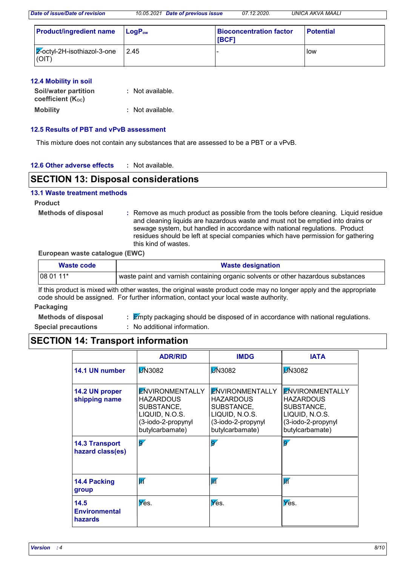*Date of issue/Date of revision 10.05.2021 Date of previous issue 07.12.2020. UNICA AKVA MAALI*

| <b>Product/ingredient name</b>           | $ $ LogP $_{\rm{ow}}$ | <b>Bioconcentration factor</b><br><b>IBCF1</b> | <b>Potential</b> |
|------------------------------------------|-----------------------|------------------------------------------------|------------------|
| $ 2$ -octyl-2H-isothiazol-3-one<br>(OIT) | 2.45                  |                                                | <b>I</b> low     |

### **12.4 Mobility in soil**

| Soil/water partition<br>coefficient (K <sub>oc</sub> ) | : Not available. |
|--------------------------------------------------------|------------------|
| <b>Mobility</b>                                        | : Not available. |

### **12.5 Results of PBT and vPvB assessment**

This mixture does not contain any substances that are assessed to be a PBT or a vPvB.

| 12.6 Other adverse effects | Not available. |
|----------------------------|----------------|
|----------------------------|----------------|

# **SECTION 13: Disposal considerations**

### **13.1 Waste treatment methods**

**Product**

**Methods of disposal :**

Remove as much product as possible from the tools before cleaning. Liquid residue and cleaning liquids are hazardous waste and must not be emptied into drains or sewage system, but handled in accordance with national regulations. Product residues should be left at special companies which have permission for gathering this kind of wastes.

### **European waste catalogue (EWC)**

| Waste code | <b>Waste designation</b>                                                          |
|------------|-----------------------------------------------------------------------------------|
| $1080111*$ | waste paint and varnish containing organic solvents or other hazardous substances |

If this product is mixed with other wastes, the original waste product code may no longer apply and the appropriate code should be assigned. For further information, contact your local waste authority.

#### **Packaging**

**Methods of disposal :**

- $\mathbb E$ mpty packaging should be disposed of in accordance with national regulations. : No additional information.
- **Special precautions :**

# **SECTION 14: Transport information**

|                                           | <b>ADR/RID</b>                                                                                                      | <b>IMDG</b>                                                                                                         | <b>IATA</b>                                                                                                  |
|-------------------------------------------|---------------------------------------------------------------------------------------------------------------------|---------------------------------------------------------------------------------------------------------------------|--------------------------------------------------------------------------------------------------------------|
| 14.1 UN number                            | <b>D</b> N3082                                                                                                      | <b>D</b> N3082                                                                                                      | <b>D</b> N3082                                                                                               |
| 14.2 UN proper<br>shipping name           | <b>ENVIRONMENTALLY</b><br><b>HAZARDOUS</b><br>SUBSTANCE,<br>LIQUID, N.O.S.<br>(3-iodo-2-propynyl<br>butylcarbamate) | <b>ENVIRONMENTALLY</b><br><b>HAZARDOUS</b><br>SUBSTANCE,<br>LIQUID, N.O.S.<br>(3-iodo-2-propynyl<br>butylcarbamate) | <b>ENVIRONMENTALLY</b><br>HAZARDOUS<br>SUBSTANCE,<br>LIQUID, N.O.S.<br>(3-iodo-2-propynyl<br>butylcarbamate) |
| <b>14.3 Transport</b><br>hazard class(es) | $\overline{\mathbf{S}'}$                                                                                            | $\overline{\mathbf{S}'}$                                                                                            | $\overline{\mathbf{S}'}$                                                                                     |
| 14.4 Packing<br>group                     | $\overline{\mathsf{W}}$                                                                                             | $\overline{\mathbb{W}}$                                                                                             | $\overline{\mathbb{K}}$                                                                                      |
| 14.5<br><b>Environmental</b><br>hazards   | $\overline{\mathsf{Y}}$ es.                                                                                         | $\mathbf{\nabla}$ es.                                                                                               | Yes.                                                                                                         |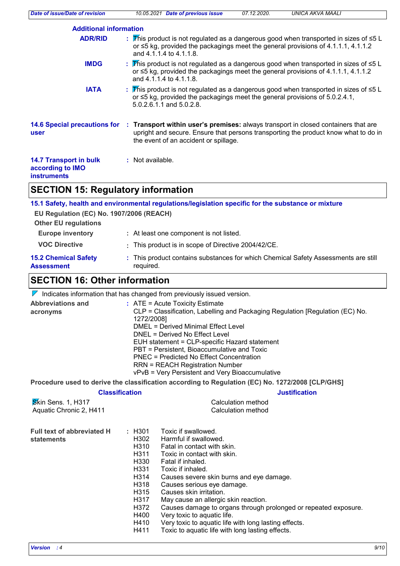| Date of issue/Date of revision                                          | <b>UNICA AKVA MAALI</b><br>10.05.2021 Date of previous issue<br>07.12.2020.                                                                                                                                                                     |  |  |  |  |
|-------------------------------------------------------------------------|-------------------------------------------------------------------------------------------------------------------------------------------------------------------------------------------------------------------------------------------------|--|--|--|--|
| <b>Additional information</b>                                           |                                                                                                                                                                                                                                                 |  |  |  |  |
| <b>ADR/RID</b>                                                          | : This product is not regulated as a dangerous good when transported in sizes of $\leq 5$ L<br>or $\leq$ 5 kg, provided the packagings meet the general provisions of 4.1.1.1, 4.1.1.2<br>and 4.1.1.4 to 4.1.1.8.                               |  |  |  |  |
| <b>IMDG</b>                                                             | : This product is not regulated as a dangerous good when transported in sizes of $\leq 5$ L<br>or $\leq$ 5 kg, provided the packagings meet the general provisions of 4.1.1.1, 4.1.1.2<br>and 4.1.1.4 to 4.1.1.8.                               |  |  |  |  |
| <b>IATA</b>                                                             | : This product is not regulated as a dangerous good when transported in sizes of $\leq 5$ L<br>or ≤5 kg, provided the packagings meet the general provisions of 5.0.2.4.1,<br>5.0.2.6.1.1 and 5.0.2.8.                                          |  |  |  |  |
| user                                                                    | 14.6 Special precautions for : Transport within user's premises: always transport in closed containers that are<br>upright and secure. Ensure that persons transporting the product know what to do in<br>the event of an accident or spillage. |  |  |  |  |
| <b>14.7 Transport in bulk</b><br>according to IMO<br><b>instruments</b> | : Not available.                                                                                                                                                                                                                                |  |  |  |  |
| <b>SECTION 15: Regulatory information</b>                               |                                                                                                                                                                                                                                                 |  |  |  |  |
| EU Regulation (EC) No. 1907/2006 (REACH)<br><b>Other EU regulations</b> | 15.1 Safety, health and environmental regulations/legislation specific for the substance or mixture                                                                                                                                             |  |  |  |  |

| <b>Europe inventory</b> | : At least one component is not listed.             |
|-------------------------|-----------------------------------------------------|
| <b>VOC Directive</b>    | : This product is in scope of Directive 2004/42/CE. |

| <b>15.2 Chemical Safety</b> | This product contains substances for which Chemical Safety Assessments are still |
|-----------------------------|----------------------------------------------------------------------------------|
| Assessment                  | required.                                                                        |

# **SECTION 16: Other information**

 $\nabla$  Indicates information that has changed from previously issued version.

| <b>Abbreviations and</b><br>acronyms            |                                                                                                                                 | : ATE = Acute Toxicity Estimate<br>CLP = Classification, Labelling and Packaging Regulation [Regulation (EC) No.<br>1272/2008]<br><b>DMEL = Derived Minimal Effect Level</b><br>DNEL = Derived No Effect Level<br>EUH statement = CLP-specific Hazard statement<br>PBT = Persistent, Bioaccumulative and Toxic<br>PNEC = Predicted No Effect Concentration<br><b>RRN = REACH Registration Number</b><br>vPvB = Very Persistent and Very Bioaccumulative                                                          |  |  |  |
|-------------------------------------------------|---------------------------------------------------------------------------------------------------------------------------------|------------------------------------------------------------------------------------------------------------------------------------------------------------------------------------------------------------------------------------------------------------------------------------------------------------------------------------------------------------------------------------------------------------------------------------------------------------------------------------------------------------------|--|--|--|
|                                                 |                                                                                                                                 | Procedure used to derive the classification according to Regulation (EC) No. 1272/2008 [CLP/GHS]                                                                                                                                                                                                                                                                                                                                                                                                                 |  |  |  |
|                                                 | <b>Justification</b><br><b>Classification</b>                                                                                   |                                                                                                                                                                                                                                                                                                                                                                                                                                                                                                                  |  |  |  |
| Skin Sens. 1, H317<br>Aquatic Chronic 2, H411   |                                                                                                                                 | Calculation method<br><b>Calculation method</b>                                                                                                                                                                                                                                                                                                                                                                                                                                                                  |  |  |  |
| <b>Full text of abbreviated H</b><br>statements | $\pm$ H301<br>H302<br>H <sub>3</sub> 10<br>H311<br>H330<br>H331<br>H314<br>H318<br>H315<br>H317<br>H372<br>H400<br>H410<br>H411 | Toxic if swallowed.<br>Harmful if swallowed.<br>Fatal in contact with skin.<br>Toxic in contact with skin.<br>Fatal if inhaled.<br>Toxic if inhaled.<br>Causes severe skin burns and eye damage.<br>Causes serious eye damage.<br>Causes skin irritation.<br>May cause an allergic skin reaction.<br>Causes damage to organs through prolonged or repeated exposure.<br>Very toxic to aquatic life.<br>Very toxic to aquatic life with long lasting effects.<br>Toxic to aquatic life with long lasting effects. |  |  |  |